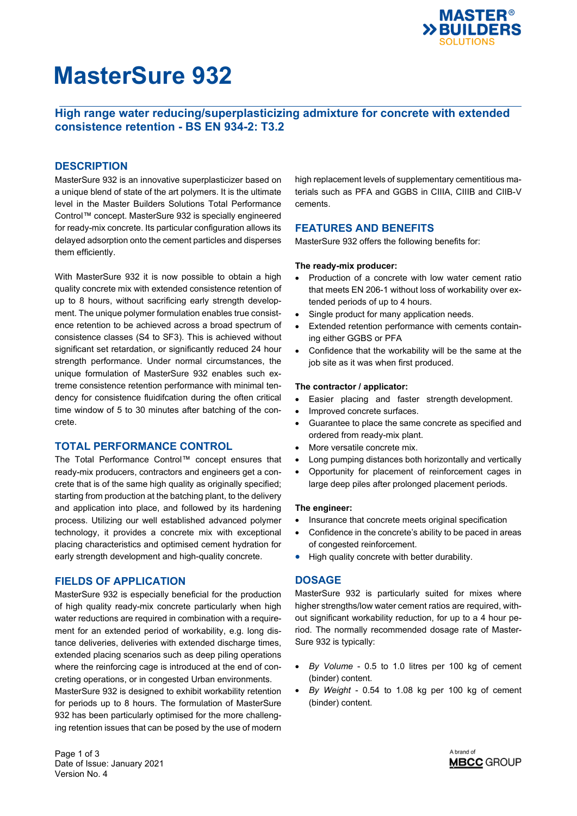

# **MasterSure 932**

# **High range water reducing/superplasticizing admixture for concrete with extended consistence retention - BS EN 934-2: T3.2**

## **DESCRIPTION**

MasterSure 932 is an innovative superplasticizer based on a unique blend of state of the art polymers. It is the ultimate level in the Master Builders Solutions Total Performance Control™ concept. MasterSure 932 is specially engineered for ready-mix concrete. Its particular configuration allows its delayed adsorption onto the cement particles and disperses them efficiently.

With MasterSure 932 it is now possible to obtain a high quality concrete mix with extended consistence retention of up to 8 hours, without sacrificing early strength development. The unique polymer formulation enables true consistence retention to be achieved across a broad spectrum of consistence classes (S4 to SF3). This is achieved without significant set retardation, or significantly reduced 24 hour strength performance. Under normal circumstances, the unique formulation of MasterSure 932 enables such extreme consistence retention performance with minimal tendency for consistence fluidifcation during the often critical time window of 5 to 30 minutes after batching of the concrete.

## **TOTAL PERFORMANCE CONTROL**

The Total Performance Control™ concept ensures that ready-mix producers, contractors and engineers get a concrete that is of the same high quality as originally specified; starting from production at the batching plant, to the delivery and application into place, and followed by its hardening process. Utilizing our well established advanced polymer technology, it provides a concrete mix with exceptional placing characteristics and optimised cement hydration for early strength development and high-quality concrete.

## **FIELDS OF APPLICATION**

MasterSure 932 is especially beneficial for the production of high quality ready-mix concrete particularly when high water reductions are required in combination with a requirement for an extended period of workability, e.g. long distance deliveries, deliveries with extended discharge times, extended placing scenarios such as deep piling operations where the reinforcing cage is introduced at the end of concreting operations, or in congested Urban environments.

MasterSure 932 is designed to exhibit workability retention for periods up to 8 hours. The formulation of MasterSure 932 has been particularly optimised for the more challenging retention issues that can be posed by the use of modern

Page 1 of 3 Date of Issue: January 2021 Version No. 4

high replacement levels of supplementary cementitious materials such as PFA and GGBS in CIIIA, CIIIB and CIIB-V cements.

## **FEATURES AND BENEFITS**

MasterSure 932 offers the following benefits for:

### **The ready-mix producer:**

- Production of a concrete with low water cement ratio that meets EN 206-1 without loss of workability over extended periods of up to 4 hours.
- Single product for many application needs.
- Extended retention performance with cements containing either GGBS or PFA
- Confidence that the workability will be the same at the job site as it was when first produced.

### **The contractor / applicator:**

- Easier placing and faster strength development.
- Improved concrete surfaces.
- Guarantee to place the same concrete as specified and ordered from ready-mix plant.
- More versatile concrete mix.
- Long pumping distances both horizontally and vertically
- Opportunity for placement of reinforcement cages in large deep piles after prolonged placement periods.

### **The engineer:**

- Insurance that concrete meets original specification
- Confidence in the concrete's ability to be paced in areas of congested reinforcement.
- High quality concrete with better durability.

## **DOSAGE**

MasterSure 932 is particularly suited for mixes where higher strengths/low water cement ratios are required, without significant workability reduction, for up to a 4 hour period. The normally recommended dosage rate of Master-Sure 932 is typically:

- *By Volume* 0.5 to 1.0 litres per 100 kg of cement (binder) content.
- *By Weight* 0.54 to 1.08 kg per 100 kg of cement (binder) content.

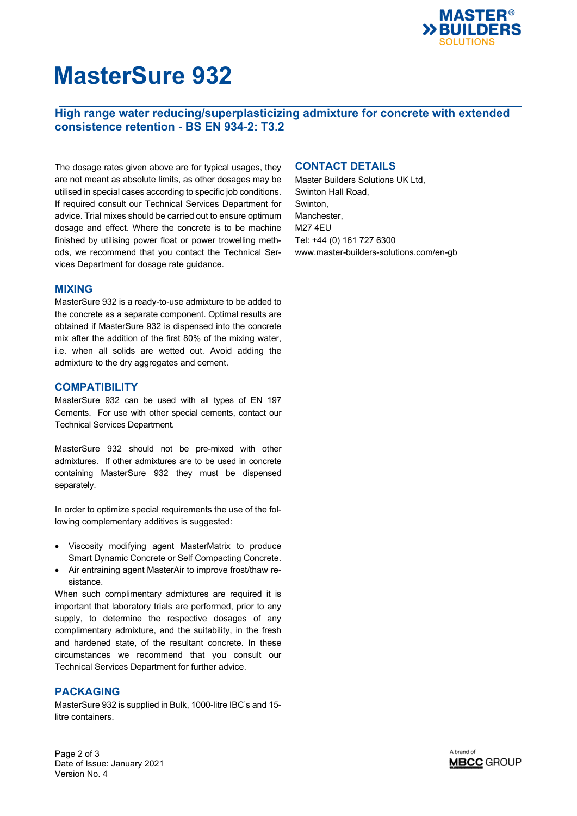

# **MasterSure 932**

# **High range water reducing/superplasticizing admixture for concrete with extended consistence retention - BS EN 934-2: T3.2**

The dosage rates given above are for typical usages, they are not meant as absolute limits, as other dosages may be utilised in special cases according to specific job conditions. If required consult our Technical Services Department for advice. Trial mixes should be carried out to ensure optimum dosage and effect. Where the concrete is to be machine finished by utilising power float or power trowelling methods, we recommend that you contact the Technical Services Department for dosage rate guidance.

## **MIXING**

MasterSure 932 is a ready-to-use admixture to be added to the concrete as a separate component. Optimal results are obtained if MasterSure 932 is dispensed into the concrete mix after the addition of the first 80% of the mixing water, i.e. when all solids are wetted out. Avoid adding the admixture to the dry aggregates and cement.

## **COMPATIBILITY**

MasterSure 932 can be used with all types of EN 197 Cements. For use with other special cements, contact our Technical Services Department.

MasterSure 932 should not be pre-mixed with other admixtures. If other admixtures are to be used in concrete containing MasterSure 932 they must be dispensed separately.

In order to optimize special requirements the use of the following complementary additives is suggested:

- Viscosity modifying agent MasterMatrix to produce Smart Dynamic Concrete or Self Compacting Concrete.
- Air entraining agent MasterAir to improve frost/thaw resistance.

When such complimentary admixtures are required it is important that laboratory trials are performed, prior to any supply, to determine the respective dosages of any complimentary admixture, and the suitability, in the fresh and hardened state, of the resultant concrete. In these circumstances we recommend that you consult our Technical Services Department for further advice.

## **PACKAGING**

MasterSure 932 is supplied in Bulk, 1000-litre IBC's and 15 litre containers.

**CONTACT DETAILS** 

Master Builders Solutions UK Ltd, Swinton Hall Road, Swinton, Manchester, M27 4EU Tel: +44 (0) 161 727 6300 www.master-builders-solutions.com/en-gb



Page 2 of 3 Date of Issue: January 2021 Version No. 4